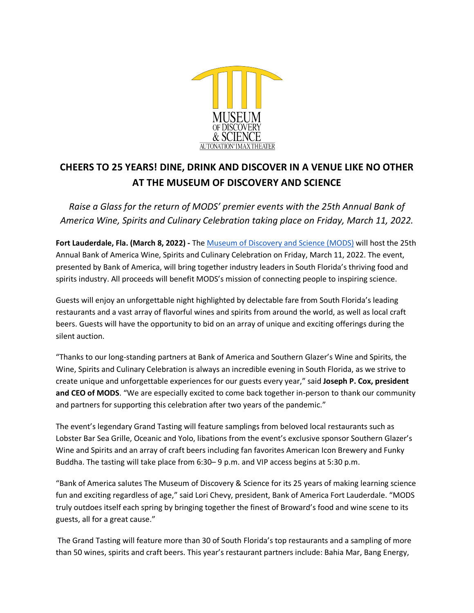

## **CHEERS TO 25 YEARS! DINE, DRINK AND DISCOVER IN A VENUE LIKE NO OTHER AT THE MUSEUM OF DISCOVERY AND SCIENCE**

*Raise a Glass for the return of MODS' premier events with the 25th Annual Bank of America Wine, Spirits and Culinary Celebration taking place on Friday, March 11, 2022.*

**Fort Lauderdale, Fla. (March 8, 2022) -** The Museum of Discovery and Science (MODS) will host the 25th Annual Bank of America Wine, Spirits and Culinary Celebration on Friday, March 11, 2022. The event, presented by Bank of America, will bring together industry leaders in South Florida's thriving food and spirits industry. All proceeds will benefit MODS's mission of connecting people to inspiring science.

Guests will enjoy an unforgettable night highlighted by delectable fare from South Florida's leading restaurants and a vast array of flavorful wines and spirits from around the world, as well as local craft beers. Guests will have the opportunity to bid on an array of unique and exciting offerings during the silent auction.

"Thanks to our long-standing partners at Bank of America and Southern Glazer's Wine and Spirits, the Wine, Spirits and Culinary Celebration is always an incredible evening in South Florida, as we strive to create unique and unforgettable experiences for our guests every year," said **Joseph P. Cox, president and CEO of MODS**. "We are especially excited to come back together in-person to thank our community and partners for supporting this celebration after two years of the pandemic."

The event's legendary Grand Tasting will feature samplings from beloved local restaurants such as Lobster Bar Sea Grille, Oceanic and Yolo, libations from the event's exclusive sponsor Southern Glazer's Wine and Spirits and an array of craft beers including fan favorites American Icon Brewery and Funky Buddha. The tasting will take place from 6:30– 9 p.m. and VIP access begins at 5:30 p.m.

"Bank of America salutes The Museum of Discovery & Science for its 25 years of making learning science fun and exciting regardless of age," said Lori Chevy, president, Bank of America Fort Lauderdale. "MODS truly outdoes itself each spring by bringing together the finest of Broward's food and wine scene to its guests, all for a great cause."

The Grand Tasting will feature more than 30 of South Florida's top restaurants and a sampling of more than 50 wines, spirits and craft beers. This year's restaurant partners include: Bahia Mar, Bang Energy,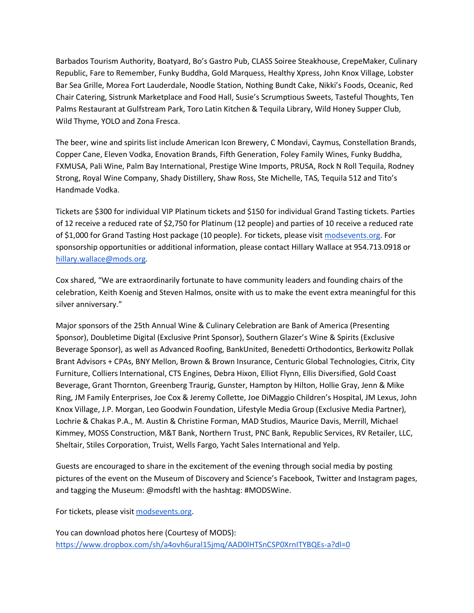Barbados Tourism Authority, Boatyard, Bo's Gastro Pub, CLASS Soiree Steakhouse, CrepeMaker, Culinary Republic, Fare to Remember, Funky Buddha, Gold Marquess, Healthy Xpress, John Knox Village, Lobster Bar Sea Grille, Morea Fort Lauderdale, Noodle Station, Nothing Bundt Cake, Nikki's Foods, Oceanic, Red Chair Catering, Sistrunk Marketplace and Food Hall, Susie's Scrumptious Sweets, Tasteful Thoughts, Ten Palms Restaurant at Gulfstream Park, Toro Latin Kitchen & Tequila Library, Wild Honey Supper Club, Wild Thyme, YOLO and Zona Fresca.

The beer, wine and spirits list include American Icon Brewery, C Mondavi, Caymus, Constellation Brands, Copper Cane, Eleven Vodka, Enovation Brands, Fifth Generation, Foley Family Wines, Funky Buddha, FXMUSA, Pali Wine, Palm Bay International, Prestige Wine Imports, PRUSA, Rock N Roll Tequila, Rodney Strong, Royal Wine Company, Shady Distillery, Shaw Ross, Ste Michelle, TAS, Tequila 512 and Tito's Handmade Vodka.

Tickets are \$300 for individual VIP Platinum tickets and \$150 for individual Grand Tasting tickets. Parties of 12 receive a reduced rate of \$2,750 for Platinum (12 people) and parties of 10 receive a reduced rate of \$1,000 for Grand Tasting Host package (10 people). For tickets, please visit modsevents.org. For sponsorship opportunities or additional information, please contact Hillary Wallace at 954.713.0918 or hillary.wallace@mods.org.

Cox shared, "We are extraordinarily fortunate to have community leaders and founding chairs of the celebration, Keith Koenig and Steven Halmos, onsite with us to make the event extra meaningful for this silver anniversary."

Major sponsors of the 25th Annual Wine & Culinary Celebration are Bank of America (Presenting Sponsor), Doubletime Digital (Exclusive Print Sponsor), Southern Glazer's Wine & Spirits (Exclusive Beverage Sponsor), as well as Advanced Roofing, BankUnited, Benedetti Orthodontics, Berkowitz Pollak Brant Advisors + CPAs, BNY Mellon, Brown & Brown Insurance, Centuric Global Technologies, Citrix, City Furniture, Colliers International, CTS Engines, Debra Hixon, Elliot Flynn, Ellis Diversified, Gold Coast Beverage, Grant Thornton, Greenberg Traurig, Gunster, Hampton by Hilton, Hollie Gray, Jenn & Mike Ring, JM Family Enterprises, Joe Cox & Jeremy Collette, Joe DiMaggio Children's Hospital, JM Lexus, John Knox Village, J.P. Morgan, Leo Goodwin Foundation, Lifestyle Media Group (Exclusive Media Partner), Lochrie & Chakas P.A., M. Austin & Christine Forman, MAD Studios, Maurice Davis, Merrill, Michael Kimmey, MOSS Construction, M&T Bank, Northern Trust, PNC Bank, Republic Services, RV Retailer, LLC, Sheltair, Stiles Corporation, Truist, Wells Fargo, Yacht Sales International and Yelp.

Guests are encouraged to share in the excitement of the evening through social media by posting pictures of the event on the Museum of Discovery and Science's Facebook, Twitter and Instagram pages, and tagging the Museum: @modsftl with the hashtag: #MODSWine.

For tickets, please visit modsevents.org.

You can download photos here (Courtesy of MODS): https://www.dropbox.com/sh/a4ovh6ural15jmq/AAD0lHTSnCSP0XrnITYBQEs-a?dl=0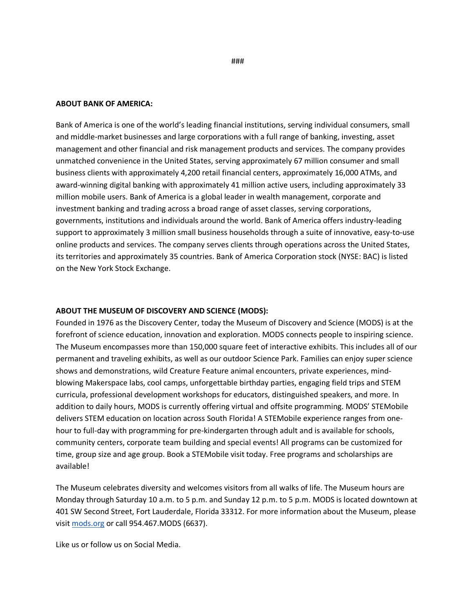## **ABOUT BANK OF AMERICA:**

Bank of America is one of the world's leading financial institutions, serving individual consumers, small and middle-market businesses and large corporations with a full range of banking, investing, asset management and other financial and risk management products and services. The company provides unmatched convenience in the United States, serving approximately 67 million consumer and small business clients with approximately 4,200 retail financial centers, approximately 16,000 ATMs, and award-winning digital banking with approximately 41 million active users, including approximately 33 million mobile users. Bank of America is a global leader in wealth management, corporate and investment banking and trading across a broad range of asset classes, serving corporations, governments, institutions and individuals around the world. Bank of America offers industry-leading support to approximately 3 million small business households through a suite of innovative, easy-to-use online products and services. The company serves clients through operations across the United States, its territories and approximately 35 countries. Bank of America Corporation stock (NYSE: BAC) is listed on the New York Stock Exchange.

## **ABOUT THE MUSEUM OF DISCOVERY AND SCIENCE (MODS):**

Founded in 1976 as the Discovery Center, today the Museum of Discovery and Science (MODS) is at the forefront of science education, innovation and exploration. MODS connects people to inspiring science. The Museum encompasses more than 150,000 square feet of interactive exhibits. This includes all of our permanent and traveling exhibits, as well as our outdoor Science Park. Families can enjoy super science shows and demonstrations, wild Creature Feature animal encounters, private experiences, mindblowing Makerspace labs, cool camps, unforgettable birthday parties, engaging field trips and STEM curricula, professional development workshops for educators, distinguished speakers, and more. In addition to daily hours, MODS is currently offering virtual and offsite programming. MODS' STEMobile delivers STEM education on location across South Florida! A STEMobile experience ranges from onehour to full-day with programming for pre-kindergarten through adult and is available for schools, community centers, corporate team building and special events! All programs can be customized for time, group size and age group. Book a STEMobile visit today. Free programs and scholarships are available!

The Museum celebrates diversity and welcomes visitors from all walks of life. The Museum hours are Monday through Saturday 10 a.m. to 5 p.m. and Sunday 12 p.m. to 5 p.m. MODS is located downtown at 401 SW Second Street, Fort Lauderdale, Florida 33312. For more information about the Museum, please visit mods.org or call 954.467.MODS (6637).

Like us or follow us on Social Media.